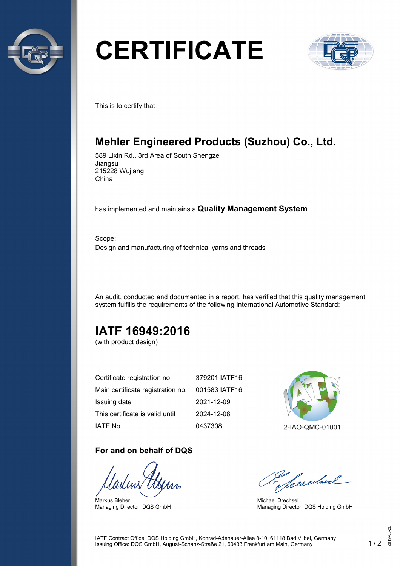

# **CERTIFICATE**



This is to certify that

# **Mehler Engineered Products (Suzhou) Co., Ltd.**

589 Lixin Rd., 3rd Area of South Shengze Jiangsu 215228 Wujiang China

has implemented and maintains a **Quality Management System**.

Scope: Design and manufacturing of technical yarns and threads

An audit, conducted and documented in a report, has verified that this quality management system fulfills the requirements of the following International Automotive Standard:

# **IATF 16949:2016**

(with product design)

| Certificate registration no.      | 379201 IATF16 |
|-----------------------------------|---------------|
| Main certificate registration no. | 001583 IATF16 |
| Issuing date                      | 2021-12-09    |
| This certificate is valid until   | 2024-12-08    |
| IATF No.                          | 0437308       |

#### **For and on behalf of DQS**

Markus Bleher Managing Director, DQS GmbH



2-IAO-QMC-01001

Seculard

Michael Drechsel Managing Director, DQS Holding GmbH

IATF Contract Office: DQS Holding GmbH, Konrad-Adenauer-Allee 8-10, 61118 Bad Vilbel, Germany Issuing Office: DQS GmbH, August-Schanz-Straße 21, 60433 Frankfurt am Main, Germany 1 / 2